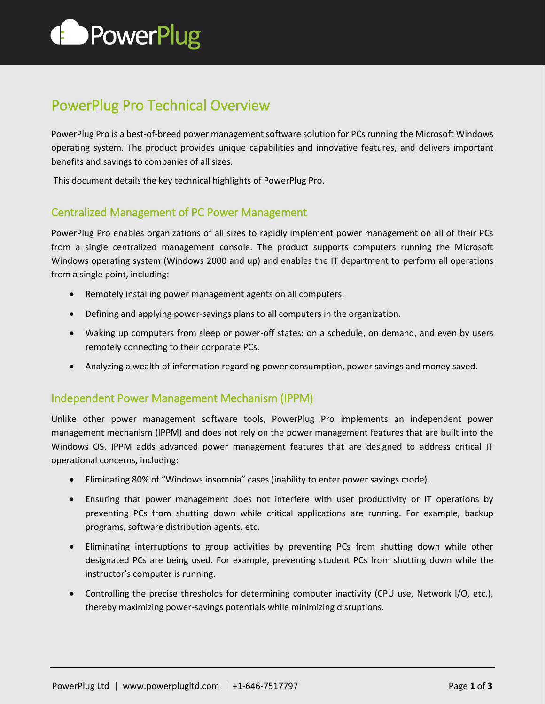

# PowerPlug Pro Technical Overview

PowerPlug Pro is a best-of-breed power management software solution for PCs running the Microsoft Windows operating system. The product provides unique capabilities and innovative features, and delivers important benefits and savings to companies of all sizes.

This document details the key technical highlights of PowerPlug Pro.

## Centralized Management of PC Power Management

PowerPlug Pro enables organizations of all sizes to rapidly implement power management on all of their PCs from a single centralized management console. The product supports computers running the Microsoft Windows operating system (Windows 2000 and up) and enables the IT department to perform all operations from a single point, including:

- Remotely installing power management agents on all computers.
- Defining and applying power-savings plans to all computers in the organization.
- Waking up computers from sleep or power-off states: on a schedule, on demand, and even by users remotely connecting to their corporate PCs.
- Analyzing a wealth of information regarding power consumption, power savings and money saved.

## Independent Power Management Mechanism (IPPM)

Unlike other power management software tools, PowerPlug Pro implements an independent power management mechanism (IPPM) and does not rely on the power management features that are built into the Windows OS. IPPM adds advanced power management features that are designed to address critical IT operational concerns, including:

- Eliminating 80% of "Windows insomnia" cases (inability to enter power savings mode).
- Ensuring that power management does not interfere with user productivity or IT operations by preventing PCs from shutting down while critical applications are running. For example, backup programs, software distribution agents, etc.
- Eliminating interruptions to group activities by preventing PCs from shutting down while other designated PCs are being used. For example, preventing student PCs from shutting down while the instructor's computer is running.
- Controlling the precise thresholds for determining computer inactivity (CPU use, Network I/O, etc.), thereby maximizing power-savings potentials while minimizing disruptions.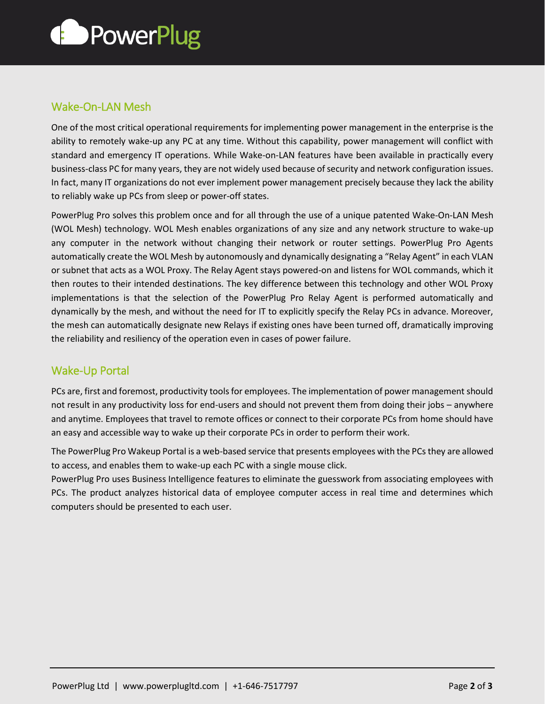

# Wake-On-LAN Mesh

One of the most critical operational requirements for implementing power management in the enterprise is the ability to remotely wake-up any PC at any time. Without this capability, power management will conflict with standard and emergency IT operations. While Wake-on-LAN features have been available in practically every business-class PC for many years, they are not widely used because of security and network configuration issues. In fact, many IT organizations do not ever implement power management precisely because they lack the ability to reliably wake up PCs from sleep or power-off states.

PowerPlug Pro solves this problem once and for all through the use of a unique patented Wake-On-LAN Mesh (WOL Mesh) technology. WOL Mesh enables organizations of any size and any network structure to wake-up any computer in the network without changing their network or router settings. PowerPlug Pro Agents automatically create the WOL Mesh by autonomously and dynamically designating a "Relay Agent" in each VLAN or subnet that acts as a WOL Proxy. The Relay Agent stays powered-on and listens for WOL commands, which it then routes to their intended destinations. The key difference between this technology and other WOL Proxy implementations is that the selection of the PowerPlug Pro Relay Agent is performed automatically and dynamically by the mesh, and without the need for IT to explicitly specify the Relay PCs in advance. Moreover, the mesh can automatically designate new Relays if existing ones have been turned off, dramatically improving the reliability and resiliency of the operation even in cases of power failure.

## Wake-Up Portal

PCs are, first and foremost, productivity tools for employees. The implementation of power management should not result in any productivity loss for end-users and should not prevent them from doing their jobs – anywhere and anytime. Employees that travel to remote offices or connect to their corporate PCs from home should have an easy and accessible way to wake up their corporate PCs in order to perform their work.

The PowerPlug Pro Wakeup Portal is a web-based service that presents employees with the PCs they are allowed to access, and enables them to wake-up each PC with a single mouse click.

PowerPlug Pro uses Business Intelligence features to eliminate the guesswork from associating employees with PCs. The product analyzes historical data of employee computer access in real time and determines which computers should be presented to each user.